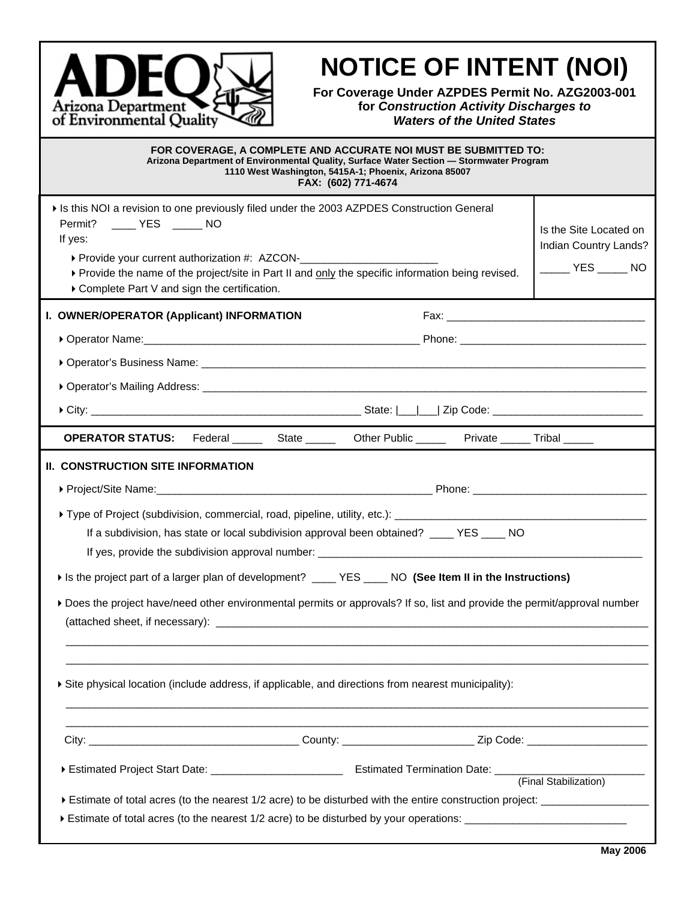

# **NOTICE OF INTENT (NOI)**

**For Coverage Under AZPDES Permit No. AZG2003-001 for** *Construction Activity Discharges to Waters of the United States*

| FOR COVERAGE, A COMPLETE AND ACCURATE NOI MUST BE SUBMITTED TO:<br>Arizona Department of Environmental Quality, Surface Water Section - Stormwater Program<br>1110 West Washington, 5415A-1; Phoenix, Arizona 85007<br>FAX: (602) 771-4674                                                                                                                                                                                                                                     |                                                                                                     |  |
|--------------------------------------------------------------------------------------------------------------------------------------------------------------------------------------------------------------------------------------------------------------------------------------------------------------------------------------------------------------------------------------------------------------------------------------------------------------------------------|-----------------------------------------------------------------------------------------------------|--|
| If is this NOI a revision to one previously filed under the 2003 AZPDES Construction General<br>Permit? _____ YES _____ NO<br>If yes:<br>▶ Provide your current authorization #: AZCON-<br>• Provide your current authorization #: AZCON-<br>• 2010 - 2021<br>▶ Provide the name of the project/site in Part II and only the specific information being revised.<br>▶ Complete Part V and sign the certification.                                                              | Is the Site Located on<br>Indian Country Lands?<br>$\rule{1em}{0.15mm}$ YES $\rule{1em}{0.15mm}$ NO |  |
| I. OWNER/OPERATOR (Applicant) INFORMATION                                                                                                                                                                                                                                                                                                                                                                                                                                      |                                                                                                     |  |
|                                                                                                                                                                                                                                                                                                                                                                                                                                                                                |                                                                                                     |  |
|                                                                                                                                                                                                                                                                                                                                                                                                                                                                                |                                                                                                     |  |
|                                                                                                                                                                                                                                                                                                                                                                                                                                                                                |                                                                                                     |  |
|                                                                                                                                                                                                                                                                                                                                                                                                                                                                                |                                                                                                     |  |
| <b>OPERATOR STATUS:</b> Federal _______ State _______ Other Public ______ Private ______ Tribal ______                                                                                                                                                                                                                                                                                                                                                                         |                                                                                                     |  |
| II. CONSTRUCTION SITE INFORMATION<br>If a subdivision, has state or local subdivision approval been obtained? ____ YES ____ NO<br>If is the project part of a larger plan of development? _____ YES ____ NO (See Item II in the Instructions)<br>Does the project have/need other environmental permits or approvals? If so, list and provide the permit/approval number<br>Site physical location (include address, if applicable, and directions from nearest municipality): |                                                                                                     |  |
|                                                                                                                                                                                                                                                                                                                                                                                                                                                                                |                                                                                                     |  |
|                                                                                                                                                                                                                                                                                                                                                                                                                                                                                | (Final Stabilization)                                                                               |  |
| Estimate of total acres (to the nearest 1/2 acre) to be disturbed by your operations: ________________________                                                                                                                                                                                                                                                                                                                                                                 |                                                                                                     |  |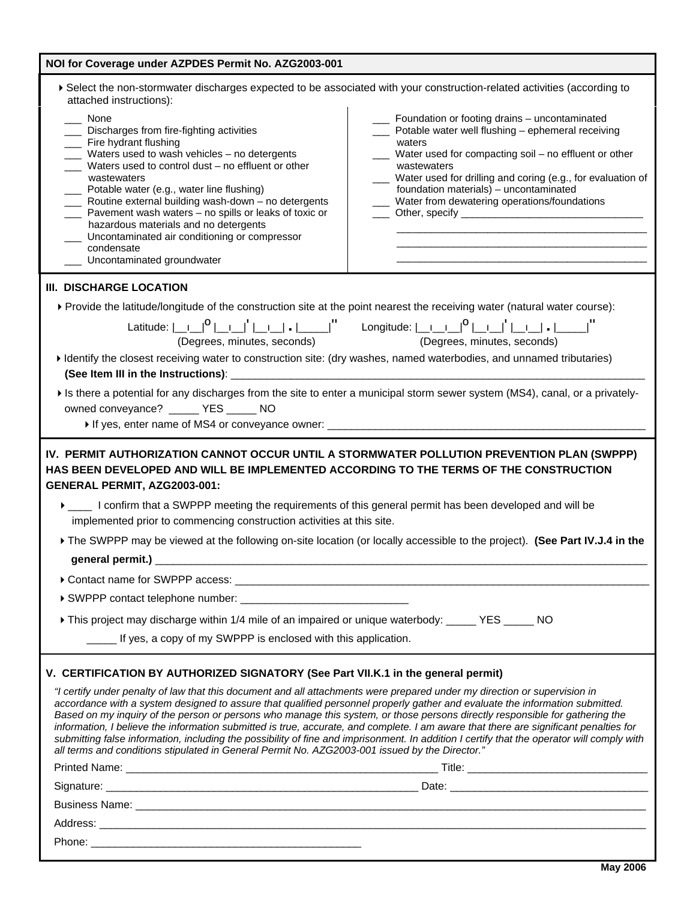| NOI for Coverage under AZPDES Permit No. AZG2003-001                                                                                                                                                                                                                                                                                                                                                                                                                                                                                                                                                                                                                                                                                                                               |                                                                                                                                                                                                                                                                                               |  |
|------------------------------------------------------------------------------------------------------------------------------------------------------------------------------------------------------------------------------------------------------------------------------------------------------------------------------------------------------------------------------------------------------------------------------------------------------------------------------------------------------------------------------------------------------------------------------------------------------------------------------------------------------------------------------------------------------------------------------------------------------------------------------------|-----------------------------------------------------------------------------------------------------------------------------------------------------------------------------------------------------------------------------------------------------------------------------------------------|--|
| ▶ Select the non-stormwater discharges expected to be associated with your construction-related activities (according to<br>attached instructions):<br>None                                                                                                                                                                                                                                                                                                                                                                                                                                                                                                                                                                                                                        |                                                                                                                                                                                                                                                                                               |  |
| _ Discharges from fire-fighting activities<br>Fire hydrant flushing<br>Waters used to wash vehicles - no detergents<br>Waters used to control dust - no effluent or other<br>wastewaters<br>Potable water (e.g., water line flushing)                                                                                                                                                                                                                                                                                                                                                                                                                                                                                                                                              | Foundation or footing drains - uncontaminated<br>Potable water well flushing - ephemeral receiving<br>waters<br>Water used for compacting soil - no effluent or other<br>wastewaters<br>Water used for drilling and coring (e.g., for evaluation of<br>foundation materials) - uncontaminated |  |
| ___ Routine external building wash-down - no detergents<br>Pavement wash waters - no spills or leaks of toxic or<br>hazardous materials and no detergents<br>Uncontaminated air conditioning or compressor<br>condensate<br>Uncontaminated groundwater                                                                                                                                                                                                                                                                                                                                                                                                                                                                                                                             | Water from dewatering operations/foundations                                                                                                                                                                                                                                                  |  |
| III. DISCHARGE LOCATION                                                                                                                                                                                                                                                                                                                                                                                                                                                                                                                                                                                                                                                                                                                                                            |                                                                                                                                                                                                                                                                                               |  |
| ▶ Provide the latitude/longitude of the construction site at the point nearest the receiving water (natural water course):<br>Latitude: $\begin{vmatrix} 0 & 0 & 0 \\ 0 & 0 & 0 \\ 0 & 0 & 0 \\ 0 & 0 & 0 \\ 0 & 0 & 0 \\ 0 & 0 & 0 \\ 0 & 0 & 0 & 0 \\ 0 & 0 & 0 & 0 \\ 0 & 0 & 0 & 0 \\ 0 & 0 & 0 & 0 \\ 0 & 0 & 0 & 0 \\ 0 & 0 & 0 & 0 & 0 \\ 0 & 0 & 0 & 0 & 0 \\ 0 & 0 & 0 & 0 & 0 \\ 0 & 0 & 0 & 0 & 0 & 0 \\ 0 & 0 & 0 & 0 & 0 & 0 \\ 0 & 0 & 0 &$                                                                                                                                                                                                                                                                                                                          |                                                                                                                                                                                                                                                                                               |  |
| (Degrees, minutes, seconds)                                                                                                                                                                                                                                                                                                                                                                                                                                                                                                                                                                                                                                                                                                                                                        | (Degrees, minutes, seconds)                                                                                                                                                                                                                                                                   |  |
| I dentify the closest receiving water to construction site: (dry washes, named waterbodies, and unnamed tributaries)                                                                                                                                                                                                                                                                                                                                                                                                                                                                                                                                                                                                                                                               |                                                                                                                                                                                                                                                                                               |  |
| If is there a potential for any discharges from the site to enter a municipal storm sewer system (MS4), canal, or a privately-<br>owned conveyance? _____ YES _____ NO                                                                                                                                                                                                                                                                                                                                                                                                                                                                                                                                                                                                             |                                                                                                                                                                                                                                                                                               |  |
| IV. PERMIT AUTHORIZATION CANNOT OCCUR UNTIL A STORMWATER POLLUTION PREVENTION PLAN (SWPPP)<br>HAS BEEN DEVELOPED AND WILL BE IMPLEMENTED ACCORDING TO THE TERMS OF THE CONSTRUCTION<br>GENERAL PERMIT, AZG2003-001:                                                                                                                                                                                                                                                                                                                                                                                                                                                                                                                                                                |                                                                                                                                                                                                                                                                                               |  |
| ▶ ____ I confirm that a SWPPP meeting the requirements of this general permit has been developed and will be<br>implemented prior to commencing construction activities at this site.                                                                                                                                                                                                                                                                                                                                                                                                                                                                                                                                                                                              |                                                                                                                                                                                                                                                                                               |  |
| The SWPPP may be viewed at the following on-site location (or locally accessible to the project). (See Part IV.J.4 in the                                                                                                                                                                                                                                                                                                                                                                                                                                                                                                                                                                                                                                                          |                                                                                                                                                                                                                                                                                               |  |
| general permit.) _                                                                                                                                                                                                                                                                                                                                                                                                                                                                                                                                                                                                                                                                                                                                                                 |                                                                                                                                                                                                                                                                                               |  |
|                                                                                                                                                                                                                                                                                                                                                                                                                                                                                                                                                                                                                                                                                                                                                                                    |                                                                                                                                                                                                                                                                                               |  |
|                                                                                                                                                                                                                                                                                                                                                                                                                                                                                                                                                                                                                                                                                                                                                                                    |                                                                                                                                                                                                                                                                                               |  |
| This project may discharge within 1/4 mile of an impaired or unique waterbody: ______ YES ______ NO                                                                                                                                                                                                                                                                                                                                                                                                                                                                                                                                                                                                                                                                                |                                                                                                                                                                                                                                                                                               |  |
| _____ If yes, a copy of my SWPPP is enclosed with this application.                                                                                                                                                                                                                                                                                                                                                                                                                                                                                                                                                                                                                                                                                                                |                                                                                                                                                                                                                                                                                               |  |
| V. CERTIFICATION BY AUTHORIZED SIGNATORY (See Part VII.K.1 in the general permit)                                                                                                                                                                                                                                                                                                                                                                                                                                                                                                                                                                                                                                                                                                  |                                                                                                                                                                                                                                                                                               |  |
| "I certify under penalty of law that this document and all attachments were prepared under my direction or supervision in<br>accordance with a system designed to assure that qualified personnel properly gather and evaluate the information submitted.<br>Based on my inquiry of the person or persons who manage this system, or those persons directly responsible for gathering the<br>information, I believe the information submitted is true, accurate, and complete. I am aware that there are significant penalties for<br>submitting false information, including the possibility of fine and imprisonment. In addition I certify that the operator will comply with<br>all terms and conditions stipulated in General Permit No. AZG2003-001 issued by the Director." |                                                                                                                                                                                                                                                                                               |  |
|                                                                                                                                                                                                                                                                                                                                                                                                                                                                                                                                                                                                                                                                                                                                                                                    |                                                                                                                                                                                                                                                                                               |  |
|                                                                                                                                                                                                                                                                                                                                                                                                                                                                                                                                                                                                                                                                                                                                                                                    |                                                                                                                                                                                                                                                                                               |  |
|                                                                                                                                                                                                                                                                                                                                                                                                                                                                                                                                                                                                                                                                                                                                                                                    |                                                                                                                                                                                                                                                                                               |  |
|                                                                                                                                                                                                                                                                                                                                                                                                                                                                                                                                                                                                                                                                                                                                                                                    |                                                                                                                                                                                                                                                                                               |  |
|                                                                                                                                                                                                                                                                                                                                                                                                                                                                                                                                                                                                                                                                                                                                                                                    |                                                                                                                                                                                                                                                                                               |  |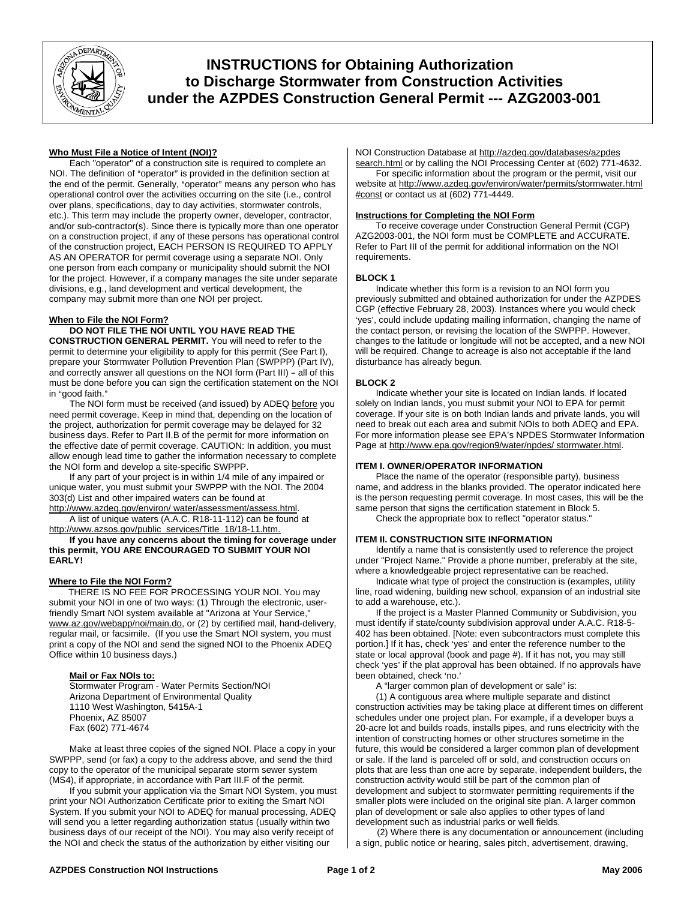

# **INSTRUCTIONS for Obtaining Authorization to Discharge Stormwater from Construction Activities under the AZPDES Construction General Permit --- AZG2003-001**

# **Who Must File a Notice of Intent (NOI)?**

Each "operator" of a construction site is required to complete an NOI. The definition of "operator" is provided in the definition section at the end of the permit. Generally, "operator" means any person who has operational control over the activities occurring on the site (i.e., control over plans, specifications, day to day activities, stormwater controls, etc.). This term may include the property owner, developer, contractor, and/or sub-contractor(s). Since there is typically more than one operator on a construction project, if any of these persons has operational control of the construction project, EACH PERSON IS REQUIRED TO APPLY AS AN OPERATOR for permit coverage using a separate NOI. Only one person from each company or municipality should submit the NOI for the project. However, if a company manages the site under separate divisions, e.g., land development and vertical development, the company may submit more than one NOI per project.

# **When to File the NOI Form?**

# **DO NOT FILE THE NOI UNTIL YOU HAVE READ THE**

**CONSTRUCTION GENERAL PERMIT.** You will need to refer to the permit to determine your eligibility to apply for this permit (See Part I), prepare your Stormwater Pollution Prevention Plan (SWPPP) (Part IV), and correctly answer all questions on the NOI form (Part III) - all of this must be done before you can sign the certification statement on the NOI in "good faith."

The NOI form must be received (and issued) by ADEQ before you need permit coverage. Keep in mind that, depending on the location of the project, authorization for permit coverage may be delayed for 32 business days. Refer to Part II.B of the permit for more information on the effective date of permit coverage. CAUTION: In addition, you must allow enough lead time to gather the information necessary to complete the NOI form and develop a site-specific SWPPP.

If any part of your project is in within 1/4 mile of any impaired or unique water, you must submit your SWPPP with the NOI. The 2004 303(d) List and other impaired waters can be found at

[http://www.azdeq.gov/environ/ water/assessment/assess.html.](http://www.azdeq.gov/environ/%20water/assessment/assess.html) A list of unique waters (A.A.C. R18-11-112) can be found at [http://www.azsos.gov/public\\_services/Title\\_18/18-11.htm.](http://www.azsos.gov/public_services/Title_18/18-11.htm)

**If you have any concerns about the timing for coverage under this permit, YOU ARE ENCOURAGED TO SUBMIT YOUR NOI EARLY!** 

## **Where to File the NOI Form?**

THERE IS NO FEE FOR PROCESSING YOUR NOI. You may submit your NOI in one of two ways: (1) Through the electronic, userfriendly Smart NOI system available at "Arizona at Your Service," [www.az.gov/webapp/noi/main.do](http://www.az.gov/webapp/noi/main.do), or (2) by certified mail, hand-delivery, regular mail, or facsimile. (If you use the Smart NOI system, you must print a copy of the NOI and send the signed NOI to the Phoenix ADEQ Office within 10 business days.)

## **Mail or Fax NOIs to:**

Stormwater Program - Water Permits Section/NOI Arizona Department of Environmental Quality 1110 West Washington, 5415A-1 Phoenix, AZ 85007 Fax (602) 771-4674

Make at least three copies of the signed NOI. Place a copy in your SWPPP, send (or fax) a copy to the address above, and send the third copy to the operator of the municipal separate storm sewer system (MS4), if appropriate, in accordance with Part III.F of the permit.

If you submit your application via the Smart NOI System, you must print your NOI Authorization Certificate prior to exiting the Smart NOI System. If you submit your NOI to ADEQ for manual processing, ADEQ will send you a letter regarding authorization status (usually within two business days of our receipt of the NOI). You may also verify receipt of the NOI and check the status of the authorization by either visiting our

NOI Construction Database at [http://azdeq.gov/databases/azpdes](http://azdeq.gov/databases/azpdes%20search.html)  [search.html](http://azdeq.gov/databases/azpdes%20search.html) or by calling the NOI Processing Center at (602) 771-4632.

For specific information about the program or the permit, visit our website at [http://www.azdeq.gov/environ/water/permits/stormwater.html](http://www.azdeq.gov/environ/water/permits/stormwater.html#const)  [#const](http://www.azdeq.gov/environ/water/permits/stormwater.html#const) or contact us at (602) 771-4449.

#### **Instructions for Completing the NOI Form**

To receive coverage under Construction General Permit (CGP) AZG2003-001, the NOI form must be COMPLETE and ACCURATE. Refer to Part III of the permit for additional information on the NOI requirements.

## **BLOCK 1**

Indicate whether this form is a revision to an NOI form you previously submitted and obtained authorization for under the AZPDES CGP (effective February 28, 2003). Instances where you would check 'yes', could include updating mailing information, changing the name of the contact person, or revising the location of the SWPPP. However, changes to the latitude or longitude will not be accepted, and a new NOI will be required. Change to acreage is also not acceptable if the land disturbance has already begun.

## **BLOCK 2**

Indicate whether your site is located on Indian lands. If located solely on Indian lands, you must submit your NOI to EPA for permit coverage. If your site is on both Indian lands and private lands, you will need to break out each area and submit NOIs to both ADEQ and EPA. For more information please see EPA's NPDES Stormwater Information Page at [http://www.epa.gov/region9/water/npdes/ stormwater.html.](http://www.epa.gov/region9/water/npdes/%20stormwater.html)

## **ITEM I. OWNER/OPERATOR INFORMATION**

Place the name of the operator (responsible party), business name, and address in the blanks provided. The operator indicated here is the person requesting permit coverage. In most cases, this will be the same person that signs the certification statement in Block 5.

Check the appropriate box to reflect "operator status."

## **ITEM II. CONSTRUCTION SITE INFORMATION**

Identify a name that is consistently used to reference the project under "Project Name." Provide a phone number, preferably at the site, where a knowledgeable project representative can be reached.

Indicate what type of project the construction is (examples, utility line, road widening, building new school, expansion of an industrial site to add a warehouse, etc.).

If the project is a Master Planned Community or Subdivision, you must identify if state/county subdivision approval under A.A.C. R18-5- 402 has been obtained. [Note: even subcontractors must complete this portion.] If it has, check 'yes' and enter the reference number to the state or local approval (book and page #). If it has not, you may still check 'yes' if the plat approval has been obtained. If no approvals have been obtained, check 'no.'

A "larger common plan of development or sale" is:

(1) A contiguous area where multiple separate and distinct construction activities may be taking place at different times on different schedules under one project plan. For example, if a developer buys a 20-acre lot and builds roads, installs pipes, and runs electricity with the intention of constructing homes or other structures sometime in the future, this would be considered a larger common plan of development or sale. If the land is parceled off or sold, and construction occurs on plots that are less than one acre by separate, independent builders, the construction activity would still be part of the common plan of development and subject to stormwater permitting requirements if the smaller plots were included on the original site plan. A larger common plan of development or sale also applies to other types of land development such as industrial parks or well fields.

(2) Where there is any documentation or announcement (including a sign, public notice or hearing, sales pitch, advertisement, drawing,